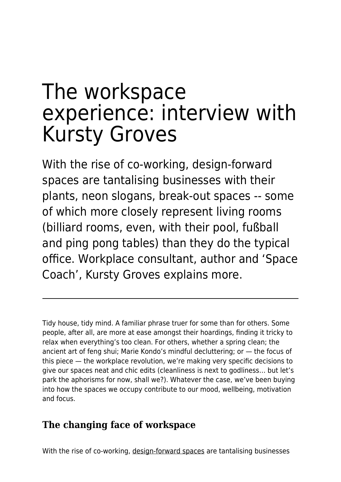# The workspace experience: interview with Kursty Groves

With the rise of co-working, design-forward spaces are tantalising businesses with their plants, neon slogans, break-out spaces -- some of which more closely represent living rooms (billiard rooms, even, with their pool, fußball and ping pong tables) than they do the typical office. Workplace consultant, author and 'Space Coach', Kursty Groves explains more.

Tidy house, tidy mind. A familiar phrase truer for some than for others. Some people, after all, are more at ease amongst their hoardings, finding it tricky to relax when everything's too clean. For others, whether a spring clean; the ancient art of feng shui; Marie Kondo's mindful decluttering; or — the focus of this piece — the workplace revolution, we're making very specific decisions to give our spaces neat and chic edits (cleanliness is next to godliness… but let's park the aphorisms for now, shall we?). Whatever the case, we've been buying into how the spaces we occupy contribute to our mood, wellbeing, motivation and focus.

## **The changing face of workspace**

With the rise of co-working, [design-forward spaces](https://www.maddyness.com/uk/2019/10/22/chief-happiness-officer-poor-management/) are tantalising businesses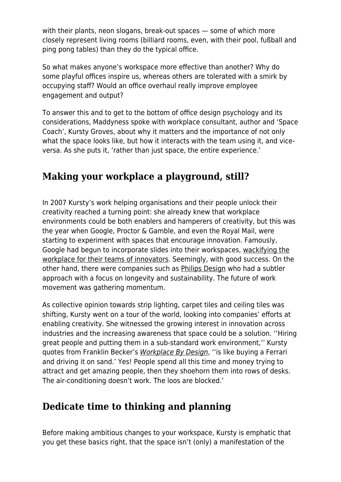with their plants, neon slogans, break-out spaces — some of which more closely represent living rooms (billiard rooms, even, with their pool, fußball and ping pong tables) than they do the typical office.

So what makes anyone's workspace more effective than another? Why do some playful offices inspire us, whereas others are tolerated with a smirk by occupying staff? Would an office overhaul really improve employee engagement and output?

To answer this and to get to the bottom of office design psychology and its considerations, Maddyness spoke with workplace consultant, author and 'Space Coach', Kursty Groves, about why it matters and the importance of not only what the space looks like, but how it interacts with the team using it, and viceversa. As she puts it, 'rather than just space, the entire experience.'

### **Making your workplace a playground, still?**

In 2007 Kursty's work helping organisations and their people unlock their creativity reached a turning point: she already knew that workplace environments could be both enablers and hamperers of creativity, but this was the year when Google, Proctor & Gamble, and even the Royal Mail, were starting to experiment with spaces that encourage innovation. Famously, Google had begun to incorporate slides into their workspaces, [wackifying the](http://news.bbc.co.uk/1/hi/7290322.stm) [workplace for their teams of innovators](http://news.bbc.co.uk/1/hi/7290322.stm). Seemingly, with good success. On the other hand, there were companies such as [Philips Design](https://www.philips.com/a-w/about/philips-design.html) who had a subtler approach with a focus on longevity and sustainability. The future of work movement was gathering momentum.

As collective opinion towards strip lighting, carpet tiles and ceiling tiles was shifting, Kursty went on a tour of the world, looking into companies' efforts at enabling creativity. She witnessed the growing interest in innovation across industries and the increasing awareness that space could be a solution. ''Hiring great people and putting them in a sub-standard work environment,'' Kursty quotes from Franklin Becker's [Workplace By Design](https://www.amazon.co.uk/dp/0787900478?_encoding=UTF8&isInIframe=0&n=266239&ref_=dp_proddesc_0&s=books&showDetailProductDesc=1#product-description_feature_div), ''is like buying a Ferrari and driving it on sand.' Yes! People spend all this time and money trying to attract and get amazing people, then they shoehorn them into rows of desks. The air-conditioning doesn't work. The loos are blocked.'

#### **Dedicate time to thinking and planning**

Before making ambitious changes to your workspace, Kursty is emphatic that you get these basics right, that the space isn't (only) a manifestation of the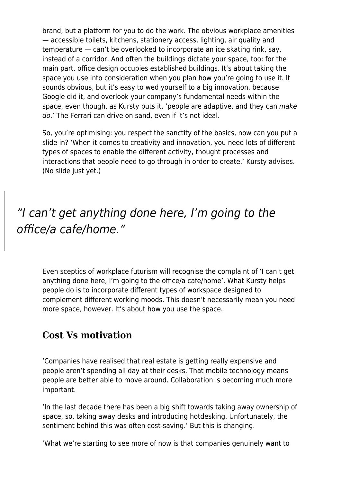brand, but a platform for you to do the work. The obvious workplace amenities — accessible toilets, kitchens, stationery access, lighting, air quality and temperature — can't be overlooked to incorporate an ice skating rink, say, instead of a corridor. And often the buildings dictate your space, too: for the main part, office design occupies established buildings. It's about taking the space you use into consideration when you plan how you're going to use it. It sounds obvious, but it's easy to wed yourself to a big innovation, because Google did it, and overlook your company's fundamental needs within the space, even though, as Kursty puts it, 'people are adaptive, and they can make do.' The Ferrari can drive on sand, even if it's not ideal.

So, you're optimising: you respect the sanctity of the basics, now can you put a slide in? 'When it comes to creativity and innovation, you need lots of different types of spaces to enable the different activity, thought processes and interactions that people need to go through in order to create,' Kursty advises. (No slide just yet.)

## "I can't get anything done here, I'm going to the office/a cafe/home."

Even sceptics of workplace futurism will recognise the complaint of 'I can't get anything done here, I'm going to the office/a cafe/home'. What Kursty helps people do is to incorporate different types of workspace designed to complement different working moods. This doesn't necessarily mean you need more space, however. It's about how you use the space.

#### **Cost Vs motivation**

'Companies have realised that real estate is getting really expensive and people aren't spending all day at their desks. That mobile technology means people are better able to move around. Collaboration is becoming much more important.

'In the last decade there has been a big shift towards taking away ownership of space, so, taking away desks and introducing hotdesking. Unfortunately, the sentiment behind this was often cost-saving.' But this is changing.

'What we're starting to see more of now is that companies genuinely want to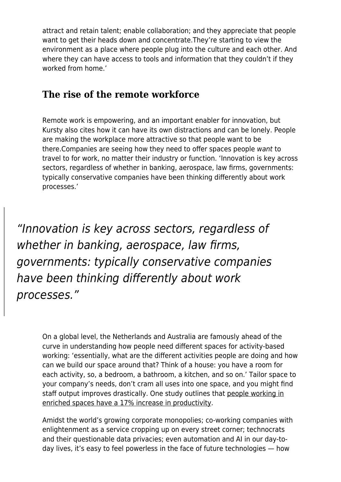attract and retain talent; enable collaboration; and they appreciate that people want to get their heads down and concentrate.They're starting to view the environment as a place where people plug into the culture and each other. And where they can have access to tools and information that they couldn't if they worked from home.'

#### **The rise of the remote workforce**

Remote work is empowering, and an important enabler for innovation, but Kursty also cites how it can have its own distractions and can be lonely. People are making the workplace more attractive so that people want to be there.Companies are seeing how they need to offer spaces people want to travel to for work, no matter their industry or function. 'Innovation is key across sectors, regardless of whether in banking, aerospace, law firms, governments: typically conservative companies have been thinking differently about work processes.'

"Innovation is key across sectors, regardless of whether in banking, aerospace, law firms, governments: typically conservative companies have been thinking differently about work processes."

> On a global level, the Netherlands and Australia are famously ahead of the curve in understanding how people need different spaces for activity-based working: 'essentially, what are the different activities people are doing and how can we build our space around that? Think of a house: you have a room for each activity, so, a bedroom, a bathroom, a kitchen, and so on.' Tailor space to your company's needs, don't cram all uses into one space, and you might find staff output improves drastically. One study outlines that [people working in](https://www.exeter.ac.uk/news/featurednews/title_98638_en.html) [enriched spaces have a 17% increase in productivity.](https://www.exeter.ac.uk/news/featurednews/title_98638_en.html)

Amidst the world's growing corporate monopolies; co-working companies with enlightenment as a service cropping up on every street corner; technocrats and their questionable data privacies; even automation and AI in our day-today lives, it's easy to feel powerless in the face of future technologies — how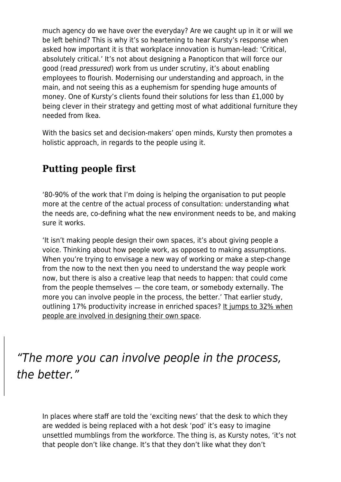much agency do we have over the everyday? Are we caught up in it or will we be left behind? This is why it's so heartening to hear Kursty's response when asked how important it is that workplace innovation is human-lead: 'Critical, absolutely critical.' It's not about designing a Panopticon that will force our good (read pressured) work from us under scrutiny, it's about enabling employees to flourish. Modernising our understanding and approach, in the main, and not seeing this as a euphemism for spending huge amounts of money. One of Kursty's clients found their solutions for less than £1,000 by being clever in their strategy and getting most of what additional furniture they needed from Ikea.

With the basics set and decision-makers' open minds, Kursty then promotes a holistic approach, in regards to the people using it.

## **Putting people first**

'80-90% of the work that I'm doing is helping the organisation to put people more at the centre of the actual process of consultation: understanding what the needs are, co-defining what the new environment needs to be, and making sure it works.

'It isn't making people design their own spaces, it's about giving people a voice. Thinking about how people work, as opposed to making assumptions. When you're trying to envisage a new way of working or make a step-change from the now to the next then you need to understand the way people work now, but there is also a creative leap that needs to happen: that could come from the people themselves — the core team, or somebody externally. The more you can involve people in the process, the better.' That earlier study, outlining 17% productivity increase in enriched spaces? [It jumps to 32% when](https://www.exeter.ac.uk/news/featurednews/title_98638_en.html) [people are involved in designing their own space.](https://www.exeter.ac.uk/news/featurednews/title_98638_en.html)

"The more you can involve people in the process, the better."

In places where staff are told the 'exciting news' that the desk to which they are wedded is being replaced with a hot desk 'pod' it's easy to imagine unsettled mumblings from the workforce. The thing is, as Kursty notes, 'it's not that people don't like change. It's that they don't like what they don't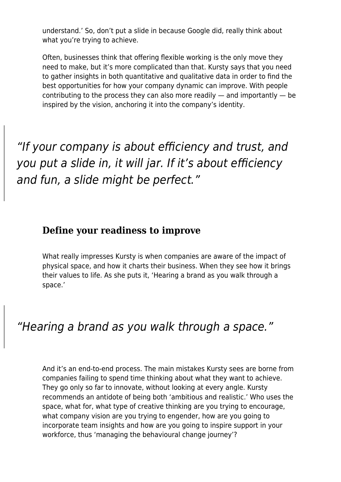understand.' So, don't put a slide in because Google did, really think about what you're trying to achieve.

Often, businesses think that offering flexible working is the only move they need to make, but it's more complicated than that. Kursty says that you need to gather insights in both quantitative and qualitative data in order to find the best opportunities for how your company dynamic can improve. With people contributing to the process they can also more readily  $-$  and importantly  $-$  be inspired by the vision, anchoring it into the company's identity.

"If your company is about efficiency and trust, and you put a slide in, it will jar. If it's about efficiency and fun, a slide might be perfect."

#### **Define your readiness to improve**

What really impresses Kursty is when companies are aware of the impact of physical space, and how it charts their business. When they see how it brings their values to life. As she puts it, 'Hearing a brand as you walk through a space.'

## "Hearing a brand as you walk through a space."

And it's an end-to-end process. The main mistakes Kursty sees are borne from companies failing to spend time thinking about what they want to achieve. They go only so far to innovate, without looking at every angle. Kursty recommends an antidote of being both 'ambitious and realistic.' Who uses the space, what for, what type of creative thinking are you trying to encourage, what company vision are you trying to engender, how are you going to incorporate team insights and how are you going to inspire support in your workforce, thus 'managing the behavioural change journey'?